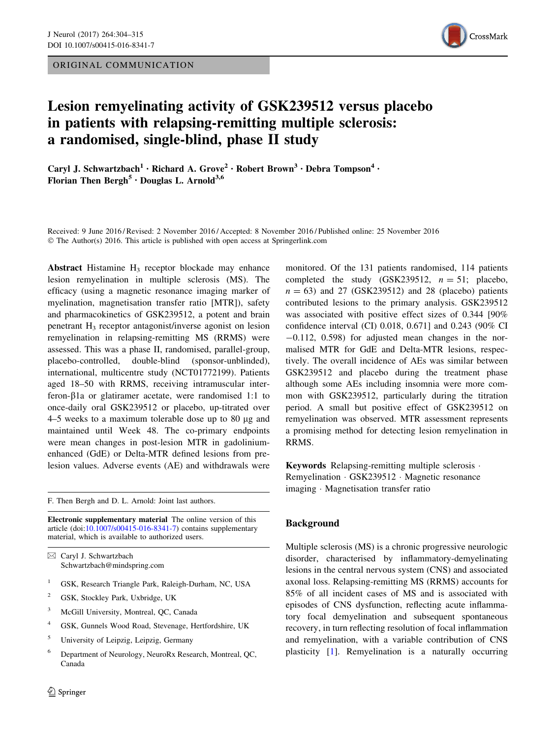ORIGINAL COMMUNICATION



# Lesion remyelinating activity of GSK239512 versus placebo in patients with relapsing-remitting multiple sclerosis: a randomised, single-blind, phase II study

Caryl J. Schwartzbach<sup>1</sup> • Richard A. Grove<sup>2</sup> • Robert Brown<sup>3</sup> • Debra Tompson<sup>4</sup> • Florian Then Bergh<sup>5</sup> · Douglas L. Arnold<sup>3,6</sup>

Received: 9 June 2016 / Revised: 2 November 2016 / Accepted: 8 November 2016 / Published online: 25 November 2016 © The Author(s) 2016. This article is published with open access at Springerlink.com

Abstract Histamine  $H_3$  receptor blockade may enhance lesion remyelination in multiple sclerosis (MS). The efficacy (using a magnetic resonance imaging marker of myelination, magnetisation transfer ratio [MTR]), safety and pharmacokinetics of GSK239512, a potent and brain penetrant  $H_3$  receptor antagonist/inverse agonist on lesion remyelination in relapsing-remitting MS (RRMS) were assessed. This was a phase II, randomised, parallel-group, placebo-controlled, double-blind (sponsor-unblinded), international, multicentre study (NCT01772199). Patients aged 18–50 with RRMS, receiving intramuscular interferon-b1a or glatiramer acetate, were randomised 1:1 to once-daily oral GSK239512 or placebo, up-titrated over 4–5 weeks to a maximum tolerable dose up to 80 lg and maintained until Week 48. The co-primary endpoints were mean changes in post-lesion MTR in gadoliniumenhanced (GdE) or Delta-MTR defined lesions from prelesion values. Adverse events (AE) and withdrawals were

F. Then Bergh and D. L. Arnold: Joint last authors.

Electronic supplementary material The online version of this article (doi:[10.1007/s00415-016-8341-7\)](http://dx.doi.org/10.1007/s00415-016-8341-7) contains supplementary material, which is available to authorized users.

 $\boxtimes$  Caryl J. Schwartzbach Schwartzbach@mindspring.com

- <sup>1</sup> GSK, Research Triangle Park, Raleigh-Durham, NC, USA
- <sup>2</sup> GSK, Stockley Park, Uxbridge, UK
- <sup>3</sup> McGill University, Montreal, QC, Canada
- <sup>4</sup> GSK, Gunnels Wood Road, Stevenage, Hertfordshire, UK
- <sup>5</sup> University of Leipzig, Leipzig, Germany
- <sup>6</sup> Department of Neurology, NeuroRx Research, Montreal, QC, Canada

monitored. Of the 131 patients randomised, 114 patients completed the study (GSK239512,  $n = 51$ ; placebo,  $n = 63$ ) and 27 (GSK239512) and 28 (placebo) patients contributed lesions to the primary analysis. GSK239512 was associated with positive effect sizes of 0.344 [90% confidence interval (CI) 0.018, 0.671] and 0.243 (90% CI  $-0.112$ ,  $0.598$ ) for adjusted mean changes in the normalised MTR for GdE and Delta-MTR lesions, respectively. The overall incidence of AEs was similar between GSK239512 and placebo during the treatment phase although some AEs including insomnia were more common with GSK239512, particularly during the titration period. A small but positive effect of GSK239512 on remyelination was observed. MTR assessment represents a promising method for detecting lesion remyelination in RRMS.

Keywords Relapsing-remitting multiple sclerosis · Remyelination - GSK239512 - Magnetic resonance imaging - Magnetisation transfer ratio

## Background

Multiple sclerosis (MS) is a chronic progressive neurologic disorder, characterised by inflammatory-demyelinating lesions in the central nervous system (CNS) and associated axonal loss. Relapsing-remitting MS (RRMS) accounts for 85% of all incident cases of MS and is associated with episodes of CNS dysfunction, reflecting acute inflammatory focal demyelination and subsequent spontaneous recovery, in turn reflecting resolution of focal inflammation and remyelination, with a variable contribution of CNS plasticity [\[1](#page-10-0)]. Remyelination is a naturally occurring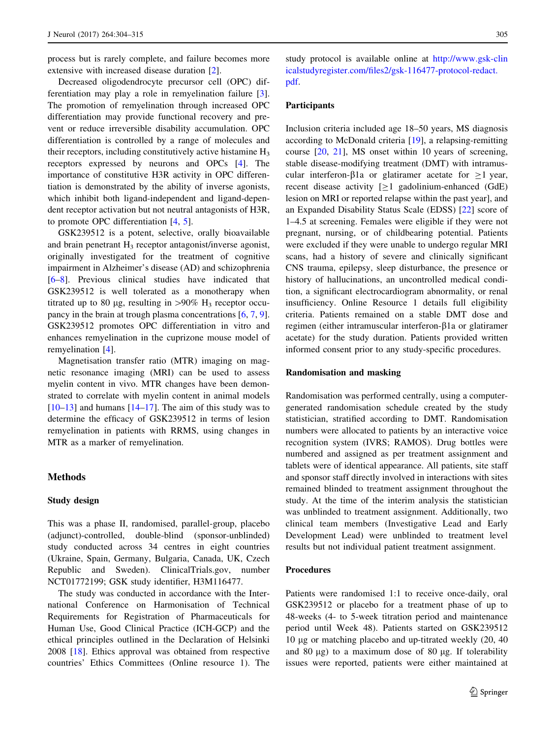process but is rarely complete, and failure becomes more extensive with increased disease duration [[2\]](#page-10-0).

Decreased oligodendrocyte precursor cell (OPC) differentiation may play a role in remyelination failure [\[3](#page-10-0)]. The promotion of remyelination through increased OPC differentiation may provide functional recovery and prevent or reduce irreversible disability accumulation. OPC differentiation is controlled by a range of molecules and their receptors, including constitutively active histamine  $H_3$ receptors expressed by neurons and OPCs [\[4](#page-10-0)]. The importance of constitutive H3R activity in OPC differentiation is demonstrated by the ability of inverse agonists, which inhibit both ligand-independent and ligand-dependent receptor activation but not neutral antagonists of H3R, to promote OPC differentiation [[4,](#page-10-0) [5](#page-10-0)].

GSK239512 is a potent, selective, orally bioavailable and brain penetrant  $H_3$  receptor antagonist/inverse agonist, originally investigated for the treatment of cognitive impairment in Alzheimer's disease (AD) and schizophrenia [\[6–8](#page-10-0)]. Previous clinical studies have indicated that GSK239512 is well tolerated as a monotherapy when titrated up to 80 µg, resulting in  $>90\%$  H<sub>3</sub> receptor occupancy in the brain at trough plasma concentrations [[6,](#page-10-0) [7](#page-10-0), [9](#page-10-0)]. GSK239512 promotes OPC differentiation in vitro and enhances remyelination in the cuprizone mouse model of remyelination [\[4](#page-10-0)].

Magnetisation transfer ratio (MTR) imaging on magnetic resonance imaging (MRI) can be used to assess myelin content in vivo. MTR changes have been demonstrated to correlate with myelin content in animal models  $[10-13]$  and humans  $[14-17]$  $[14-17]$  $[14-17]$  $[14-17]$ . The aim of this study was to determine the efficacy of GSK239512 in terms of lesion remyelination in patients with RRMS, using changes in MTR as a marker of remyelination.

## Methods

#### Study design

This was a phase II, randomised, parallel-group, placebo (adjunct)-controlled, double-blind (sponsor-unblinded) study conducted across 34 centres in eight countries (Ukraine, Spain, Germany, Bulgaria, Canada, UK, Czech Republic and Sweden). ClinicalTrials.gov, number NCT01772199; GSK study identifier, H3M116477.

The study was conducted in accordance with the International Conference on Harmonisation of Technical Requirements for Registration of Pharmaceuticals for Human Use, Good Clinical Practice (ICH-GCP) and the ethical principles outlined in the Declaration of Helsinki 2008 [\[18](#page-10-0)]. Ethics approval was obtained from respective countries' Ethics Committees (Online resource 1). The study protocol is available online at [http://www.gsk-clin](http://www.gsk-clinicalstudyregister.com/files2/gsk-116477-protocol-redact.pdf) [icalstudyregister.com/files2/gsk-116477-protocol-redact.](http://www.gsk-clinicalstudyregister.com/files2/gsk-116477-protocol-redact.pdf) [pdf](http://www.gsk-clinicalstudyregister.com/files2/gsk-116477-protocol-redact.pdf).

# Participants

Inclusion criteria included age 18–50 years, MS diagnosis according to McDonald criteria [[19\]](#page-10-0), a relapsing-remitting course [\[20](#page-10-0), [21\]](#page-10-0), MS onset within 10 years of screening, stable disease-modifying treatment (DMT) with intramuscular interferon- $\beta$ 1a or glatiramer acetate for  $>1$  year, recent disease activity  $[\geq 1]$  gadolinium-enhanced (GdE) lesion on MRI or reported relapse within the past year], and an Expanded Disability Status Scale (EDSS) [\[22](#page-10-0)] score of 1–4.5 at screening. Females were eligible if they were not pregnant, nursing, or of childbearing potential. Patients were excluded if they were unable to undergo regular MRI scans, had a history of severe and clinically significant CNS trauma, epilepsy, sleep disturbance, the presence or history of hallucinations, an uncontrolled medical condition, a significant electrocardiogram abnormality, or renal insufficiency. Online Resource 1 details full eligibility criteria. Patients remained on a stable DMT dose and regimen (either intramuscular interferon-b1a or glatiramer acetate) for the study duration. Patients provided written informed consent prior to any study-specific procedures.

#### Randomisation and masking

Randomisation was performed centrally, using a computergenerated randomisation schedule created by the study statistician, stratified according to DMT. Randomisation numbers were allocated to patients by an interactive voice recognition system (IVRS; RAMOS). Drug bottles were numbered and assigned as per treatment assignment and tablets were of identical appearance. All patients, site staff and sponsor staff directly involved in interactions with sites remained blinded to treatment assignment throughout the study. At the time of the interim analysis the statistician was unblinded to treatment assignment. Additionally, two clinical team members (Investigative Lead and Early Development Lead) were unblinded to treatment level results but not individual patient treatment assignment.

#### Procedures

Patients were randomised 1:1 to receive once-daily, oral GSK239512 or placebo for a treatment phase of up to 48-weeks (4- to 5-week titration period and maintenance period until Week 48). Patients started on GSK239512 10 lg or matching placebo and up-titrated weekly (20, 40 and 80  $\mu$ g) to a maximum dose of 80  $\mu$ g. If tolerability issues were reported, patients were either maintained at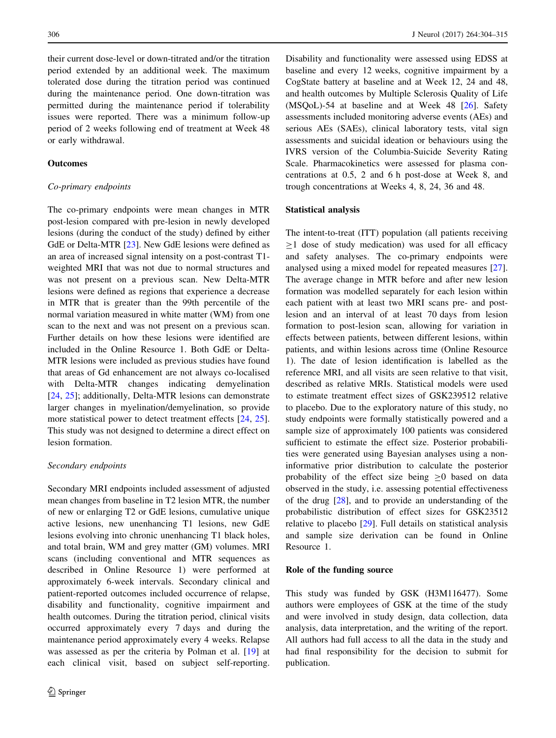their current dose-level or down-titrated and/or the titration period extended by an additional week. The maximum tolerated dose during the titration period was continued during the maintenance period. One down-titration was permitted during the maintenance period if tolerability issues were reported. There was a minimum follow-up period of 2 weeks following end of treatment at Week 48 or early withdrawal.

## **Outcomes**

## Co-primary endpoints

The co-primary endpoints were mean changes in MTR post-lesion compared with pre-lesion in newly developed lesions (during the conduct of the study) defined by either GdE or Delta-MTR [\[23\]](#page-10-0). New GdE lesions were defined as an area of increased signal intensity on a post-contrast T1 weighted MRI that was not due to normal structures and was not present on a previous scan. New Delta-MTR lesions were defined as regions that experience a decrease in MTR that is greater than the 99th percentile of the normal variation measured in white matter (WM) from one scan to the next and was not present on a previous scan. Further details on how these lesions were identified are included in the Online Resource 1. Both GdE or Delta-MTR lesions were included as previous studies have found that areas of Gd enhancement are not always co-localised with Delta-MTR changes indicating demyelination [\[24](#page-10-0), [25\]](#page-10-0); additionally, Delta-MTR lesions can demonstrate larger changes in myelination/demyelination, so provide more statistical power to detect treatment effects [[24,](#page-10-0) [25](#page-10-0)]. This study was not designed to determine a direct effect on lesion formation.

#### Secondary endpoints

Secondary MRI endpoints included assessment of adjusted mean changes from baseline in T2 lesion MTR, the number of new or enlarging T2 or GdE lesions, cumulative unique active lesions, new unenhancing T1 lesions, new GdE lesions evolving into chronic unenhancing T1 black holes, and total brain, WM and grey matter (GM) volumes. MRI scans (including conventional and MTR sequences as described in Online Resource 1) were performed at approximately 6-week intervals. Secondary clinical and patient-reported outcomes included occurrence of relapse, disability and functionality, cognitive impairment and health outcomes. During the titration period, clinical visits occurred approximately every 7 days and during the maintenance period approximately every 4 weeks. Relapse was assessed as per the criteria by Polman et al. [\[19](#page-10-0)] at each clinical visit, based on subject self-reporting. Disability and functionality were assessed using EDSS at baseline and every 12 weeks, cognitive impairment by a CogState battery at baseline and at Week 12, 24 and 48, and health outcomes by Multiple Sclerosis Quality of Life  $(MSOoL)$ -54 at baseline and at Week 48  $[26]$  $[26]$ . Safety assessments included monitoring adverse events (AEs) and serious AEs (SAEs), clinical laboratory tests, vital sign assessments and suicidal ideation or behaviours using the IVRS version of the Columbia-Suicide Severity Rating Scale. Pharmacokinetics were assessed for plasma concentrations at 0.5, 2 and 6 h post-dose at Week 8, and trough concentrations at Weeks 4, 8, 24, 36 and 48.

## Statistical analysis

The intent-to-treat (ITT) population (all patients receiving  $\geq$ 1 dose of study medication) was used for all efficacy and safety analyses. The co-primary endpoints were analysed using a mixed model for repeated measures [\[27](#page-11-0)]. The average change in MTR before and after new lesion formation was modelled separately for each lesion within each patient with at least two MRI scans pre- and postlesion and an interval of at least 70 days from lesion formation to post-lesion scan, allowing for variation in effects between patients, between different lesions, within patients, and within lesions across time (Online Resource 1). The date of lesion identification is labelled as the reference MRI, and all visits are seen relative to that visit, described as relative MRIs. Statistical models were used to estimate treatment effect sizes of GSK239512 relative to placebo. Due to the exploratory nature of this study, no study endpoints were formally statistically powered and a sample size of approximately 100 patients was considered sufficient to estimate the effect size. Posterior probabilities were generated using Bayesian analyses using a noninformative prior distribution to calculate the posterior probability of the effect size being  $\geq 0$  based on data observed in the study, i.e. assessing potential effectiveness of the drug [[28](#page-11-0)], and to provide an understanding of the probabilistic distribution of effect sizes for GSK23512 relative to placebo [[29\]](#page-11-0). Full details on statistical analysis and sample size derivation can be found in Online Resource 1.

#### Role of the funding source

This study was funded by GSK (H3M116477). Some authors were employees of GSK at the time of the study and were involved in study design, data collection, data analysis, data interpretation, and the writing of the report. All authors had full access to all the data in the study and had final responsibility for the decision to submit for publication.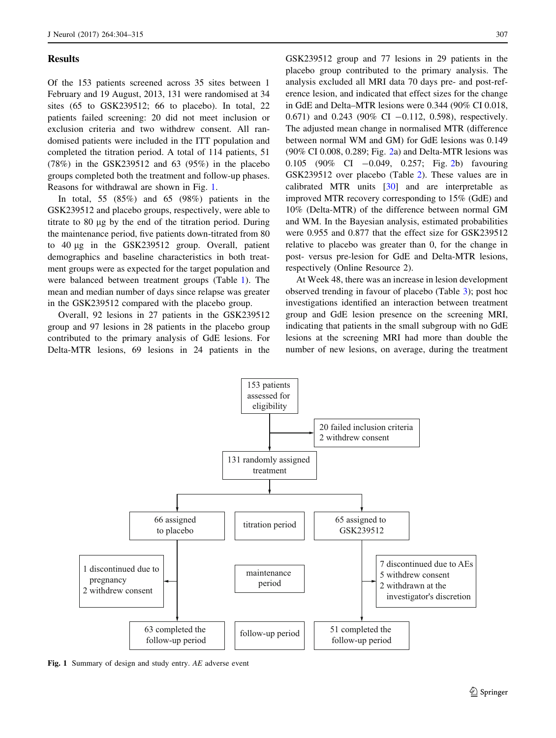## **Results**

Of the 153 patients screened across 35 sites between 1 February and 19 August, 2013, 131 were randomised at 34 sites (65 to GSK239512; 66 to placebo). In total, 22 patients failed screening: 20 did not meet inclusion or exclusion criteria and two withdrew consent. All randomised patients were included in the ITT population and completed the titration period. A total of 114 patients, 51 (78%) in the GSK239512 and 63 (95%) in the placebo groups completed both the treatment and follow-up phases. Reasons for withdrawal are shown in Fig. 1.

In total, 55 (85%) and 65 (98%) patients in the GSK239512 and placebo groups, respectively, were able to titrate to 80 µg by the end of the titration period. During the maintenance period, five patients down-titrated from 80 to 40 lg in the GSK239512 group. Overall, patient demographics and baseline characteristics in both treatment groups were as expected for the target population and were balanced between treatment groups (Table [1\)](#page-4-0). The mean and median number of days since relapse was greater in the GSK239512 compared with the placebo group.

Overall, 92 lesions in 27 patients in the GSK239512 group and 97 lesions in 28 patients in the placebo group contributed to the primary analysis of GdE lesions. For Delta-MTR lesions, 69 lesions in 24 patients in the GSK239512 group and 77 lesions in 29 patients in the placebo group contributed to the primary analysis. The analysis excluded all MRI data 70 days pre- and post-reference lesion, and indicated that effect sizes for the change in GdE and Delta–MTR lesions were 0.344 (90% CI 0.018, 0.671) and 0.243 (90% CI  $-0.112$ , 0.598), respectively. The adjusted mean change in normalised MTR (difference between normal WM and GM) for GdE lesions was 0.149 (90% CI 0.008, 0.289; Fig. [2](#page-5-0)a) and Delta-MTR lesions was 0.105 (90% CI -0.049, 0.257; Fig. [2b](#page-5-0)) favouring GSK239512 over placebo (Table [2](#page-6-0)). These values are in calibrated MTR units [[30\]](#page-11-0) and are interpretable as improved MTR recovery corresponding to 15% (GdE) and 10% (Delta-MTR) of the difference between normal GM and WM. In the Bayesian analysis, estimated probabilities were 0.955 and 0.877 that the effect size for GSK239512 relative to placebo was greater than 0, for the change in post- versus pre-lesion for GdE and Delta-MTR lesions, respectively (Online Resource 2).

At Week 48, there was an increase in lesion development observed trending in favour of placebo (Table [3](#page-6-0)); post hoc investigations identified an interaction between treatment group and GdE lesion presence on the screening MRI, indicating that patients in the small subgroup with no GdE lesions at the screening MRI had more than double the number of new lesions, on average, during the treatment



Fig. 1 Summary of design and study entry. AE adverse event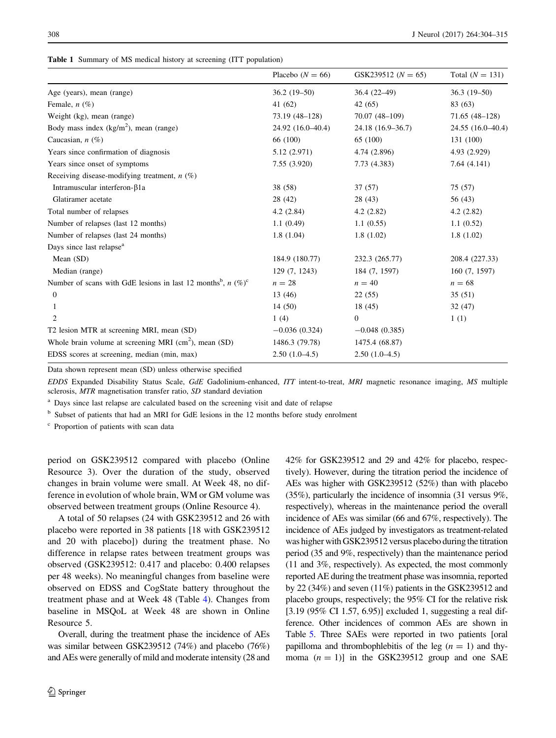<span id="page-4-0"></span>

|  |  |  |  |  | Table 1 Summary of MS medical history at screening (ITT population) |  |  |
|--|--|--|--|--|---------------------------------------------------------------------|--|--|
|--|--|--|--|--|---------------------------------------------------------------------|--|--|

|                                                                              | Placebo $(N = 66)$ | GSK239512 $(N = 65)$ | Total $(N = 131)$ |
|------------------------------------------------------------------------------|--------------------|----------------------|-------------------|
| Age (years), mean (range)                                                    | $36.2(19-50)$      | $36.4(22-49)$        | $36.3(19-50)$     |
| Female, $n$ (%)                                                              | 41 (62)            | 42 (65)              | 83 (63)           |
| Weight (kg), mean (range)                                                    | 73.19 (48-128)     | 70.07 (48-109)       | $71.65(48-128)$   |
| Body mass index $(kg/m2)$ , mean (range)                                     | 24.92 (16.0-40.4)  | 24.18 (16.9–36.7)    | 24.55 (16.0-40.4) |
| Caucasian, $n$ (%)                                                           | 66 (100)           | 65 (100)             | 131 (100)         |
| Years since confirmation of diagnosis                                        | 5.12 (2.971)       | 4.74 (2.896)         | 4.93 (2.929)      |
| Years since onset of symptoms                                                | 7.55 (3.920)       | 7.73 (4.383)         | 7.64(4.141)       |
| Receiving disease-modifying treatment, $n$ (%)                               |                    |                      |                   |
| Intramuscular interferon- $\beta$ 1a                                         | 38 (58)            | 37 (57)              | 75 (57)           |
| Glatiramer acetate                                                           | 28 (42)            | 28(43)               | 56 (43)           |
| Total number of relapses                                                     | 4.2(2.84)          | 4.2(2.82)            | 4.2(2.82)         |
| Number of relapses (last 12 months)                                          | 1.1(0.49)          | 1.1(0.55)            | 1.1(0.52)         |
| Number of relapses (last 24 months)                                          | 1.8(1.04)          | 1.8(1.02)            | 1.8(1.02)         |
| Days since last relapse <sup>a</sup>                                         |                    |                      |                   |
| Mean (SD)                                                                    | 184.9 (180.77)     | 232.3 (265.77)       | 208.4 (227.33)    |
| Median (range)                                                               | 129 (7, 1243)      | 184 (7, 1597)        | 160 (7, 1597)     |
| Number of scans with GdE lesions in last 12 months <sup>b</sup> , $n (\%)^c$ | $n=28$             | $n = 40$             | $n = 68$          |
| 0                                                                            | 13 (46)            | 22(55)               | 35(51)            |
|                                                                              | 14 (50)            | 18 (45)              | 32(47)            |
| 2                                                                            | 1(4)               | 0                    | 1(1)              |
| T2 lesion MTR at screening MRI, mean (SD)                                    | $-0.036(0.324)$    | $-0.048(0.385)$      |                   |
| Whole brain volume at screening MRI $(cm2)$ , mean (SD)                      | 1486.3 (79.78)     | 1475.4 (68.87)       |                   |
| EDSS scores at screening, median (min, max)                                  | $2.50(1.0-4.5)$    | $2.50(1.0-4.5)$      |                   |

Data shown represent mean (SD) unless otherwise specified

EDDS Expanded Disability Status Scale, GdE Gadolinium-enhanced, ITT intent-to-treat, MRI magnetic resonance imaging, MS multiple sclerosis, MTR magnetisation transfer ratio, SD standard deviation

<sup>a</sup> Days since last relapse are calculated based on the screening visit and date of relapse

<sup>b</sup> Subset of patients that had an MRI for GdE lesions in the 12 months before study enrolment

<sup>c</sup> Proportion of patients with scan data

period on GSK239512 compared with placebo (Online Resource 3). Over the duration of the study, observed changes in brain volume were small. At Week 48, no difference in evolution of whole brain, WM or GM volume was observed between treatment groups (Online Resource 4).

A total of 50 relapses (24 with GSK239512 and 26 with placebo were reported in 38 patients [18 with GSK239512 and 20 with placebo]) during the treatment phase. No difference in relapse rates between treatment groups was observed (GSK239512: 0.417 and placebo: 0.400 relapses per 48 weeks). No meaningful changes from baseline were observed on EDSS and CogState battery throughout the treatment phase and at Week 48 (Table [4](#page-7-0)). Changes from baseline in MSQoL at Week 48 are shown in Online Resource 5.

Overall, during the treatment phase the incidence of AEs was similar between GSK239512 (74%) and placebo (76%) and AEs were generally of mild and moderate intensity (28 and 42% for GSK239512 and 29 and 42% for placebo, respectively). However, during the titration period the incidence of AEs was higher with GSK239512 (52%) than with placebo (35%), particularly the incidence of insomnia (31 versus 9%, respectively), whereas in the maintenance period the overall incidence of AEs was similar (66 and 67%, respectively). The incidence of AEs judged by investigators as treatment-related was higher with GSK239512 versus placebo during the titration period (35 and 9%, respectively) than the maintenance period (11 and 3%, respectively). As expected, the most commonly reported AE during the treatment phase was insomnia, reported by 22 (34%) and seven (11%) patients in the GSK239512 and placebo groups, respectively; the 95% CI for the relative risk [3.19 (95% CI 1.57, 6.95)] excluded 1, suggesting a real difference. Other incidences of common AEs are shown in Table [5](#page-8-0). Three SAEs were reported in two patients [oral papilloma and thrombophlebitis of the leg  $(n = 1)$  and thymoma  $(n = 1)$ ] in the GSK239512 group and one SAE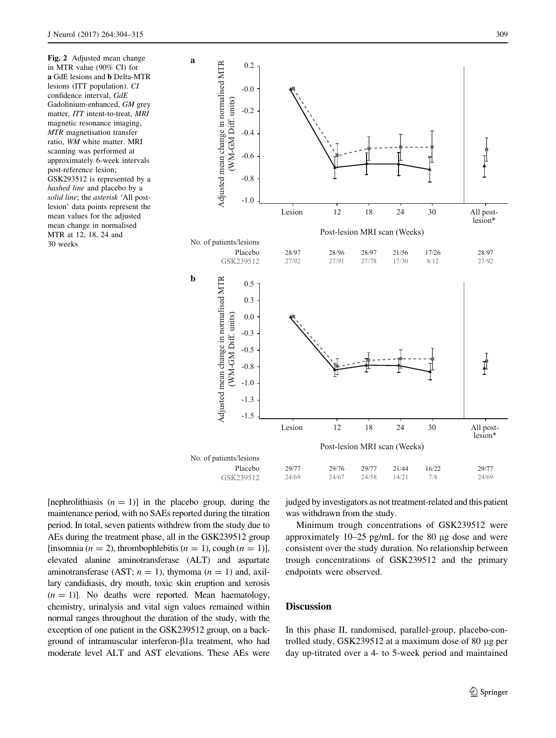Fig. 2 Adjusted mean change in MTR value (90% CI) for a GdE lesions and b Delta-MTR lesions (ITT population). CI confidence interval, GdE Gadolinium-enhanced, GM grey matter, ITT intent-to-treat, MRI magnetic resonance imaging, MTR magnetisation transfer ratio, WM white matter. MRI scanning was performed at approximately 6-week intervals post-reference lesion; GSK293512 is represented by a hashed line and placebo by a solid line; the asterisk 'All postlesion' data points represent the mean values for the adjusted mean change in normalised MTR at 12, 18, 24 and 30 weeks

<span id="page-5-0"></span>

[nephrolithiasis  $(n = 1)$ ] in the placebo group, during the maintenance period, with no SAEs reported during the titration period. In total, seven patients withdrew from the study due to AEs during the treatment phase, all in the GSK239512 group [insomnia ( $n = 2$ ), thrombophlebitis ( $n = 1$ ), cough ( $n = 1$ )], elevated alanine aminotransferase (ALT) and aspartate aminotransferase (AST;  $n = 1$ ), thymoma ( $n = 1$ ) and, axillary candidiasis, dry mouth, toxic skin eruption and xerosis  $(n = 1)$ ]. No deaths were reported. Mean haematology, chemistry, urinalysis and vital sign values remained within normal ranges throughout the duration of the study, with the exception of one patient in the GSK239512 group, on a background of intramuscular interferon- $\beta$ 1a treatment, who had moderate level ALT and AST elevations. These AEs were judged by investigators as not treatment-related and this patient was withdrawn from the study.

Minimum trough concentrations of GSK239512 were approximately  $10-25$  pg/mL for the 80 µg dose and were consistent over the study duration. No relationship between trough concentrations of GSK239512 and the primary endpoints were observed.

# **Discussion**

In this phase II, randomised, parallel-group, placebo-controlled study,  $GSK239512$  at a maximum dose of 80  $\mu$ g per day up-titrated over a 4- to 5-week period and maintained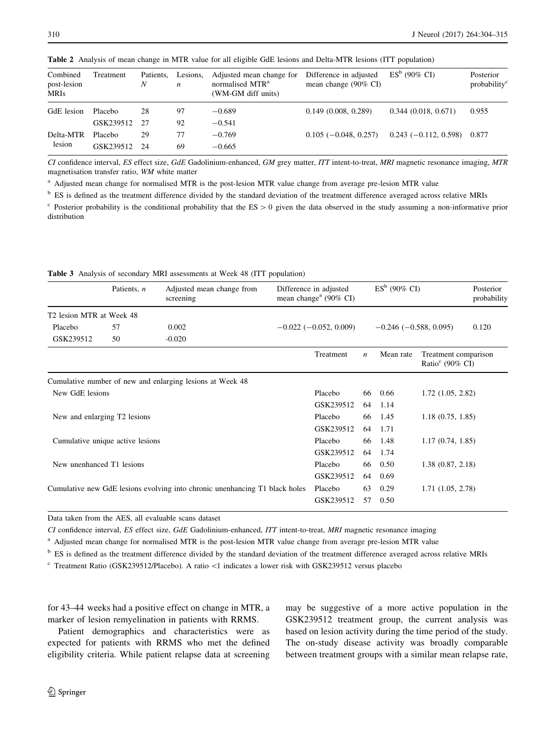| Combined<br>post-lesion<br><b>MRIs</b> | Treatment | Patients,<br>N | Lesions,<br>n | Adjusted mean change for<br>normalised MTR <sup>a</sup><br>(WM-GM diff units) | Difference in adjusted<br>mean change $(90\% \text{ CI})$ | $ESb$ (90% CI)         | Posterior<br>probability <sup>c</sup> |
|----------------------------------------|-----------|----------------|---------------|-------------------------------------------------------------------------------|-----------------------------------------------------------|------------------------|---------------------------------------|
| GdE lesion                             | Placebo   | 28             | 97            | $-0.689$                                                                      | 0.149(0.008, 0.289)                                       | 0.344(0.018, 0.671)    | 0.955                                 |
|                                        | GSK239512 | - 27           | 92            | $-0.541$                                                                      |                                                           |                        |                                       |
| Delta-MTR                              | Placebo   | 29             | 77            | $-0.769$                                                                      | $0.105(-0.048, 0.257)$                                    | $0.243(-0.112, 0.598)$ | 0.877                                 |
| lesion                                 | GSK239512 | - 24           | 69            | $-0.665$                                                                      |                                                           |                        |                                       |

<span id="page-6-0"></span>Table 2 Analysis of mean change in MTR value for all eligible GdE lesions and Delta-MTR lesions (ITT population)

CI confidence interval, ES effect size, GdE Gadolinium-enhanced, GM grey matter, ITT intent-to-treat, MRI magnetic resonance imaging, MTR magnetisation transfer ratio, WM white matter

<sup>a</sup> Adjusted mean change for normalised MTR is the post-lesion MTR value change from average pre-lesion MTR value

<sup>b</sup> ES is defined as the treatment difference divided by the standard deviation of the treatment difference averaged across relative MRIs

 $\epsilon$  Posterior probability is the conditional probability that the ES  $> 0$  given the data observed in the study assuming a non-informative prior distribution

|                           | Patients, <i>n</i>               | Adjusted mean change from<br>screening                                      | Difference in adjusted<br>mean change <sup>a</sup> (90% CI) |                  | $ES^b$ (90% CI)              |                                                     | Posterior<br>probability |
|---------------------------|----------------------------------|-----------------------------------------------------------------------------|-------------------------------------------------------------|------------------|------------------------------|-----------------------------------------------------|--------------------------|
| T2 lesion MTR at Week 48  |                                  |                                                                             |                                                             |                  |                              |                                                     |                          |
| Placebo                   | 57                               | 0.002                                                                       | $-0.022$ ( $-0.052$ , 0.009)                                |                  | $-0.246$ ( $-0.588$ , 0.095) |                                                     | 0.120                    |
| GSK239512                 | 50                               | $-0.020$                                                                    |                                                             |                  |                              |                                                     |                          |
|                           |                                  |                                                                             | Treatment                                                   | $\boldsymbol{n}$ | Mean rate                    | Treatment comparison<br>Ratio <sup>c</sup> (90% CI) |                          |
|                           |                                  | Cumulative number of new and enlarging lesions at Week 48                   |                                                             |                  |                              |                                                     |                          |
| New GdE lesions           |                                  |                                                                             | Placebo                                                     | 66               | 0.66                         | $1.72$ $(1.05, 2.82)$                               |                          |
|                           |                                  |                                                                             | GSK239512                                                   | 64               | 1.14                         |                                                     |                          |
|                           | New and enlarging T2 lesions     |                                                                             | Placebo                                                     | 66               | 1.45                         | 1.18(0.75, 1.85)                                    |                          |
|                           |                                  |                                                                             | GSK239512                                                   | 64               | 1.71                         |                                                     |                          |
|                           | Cumulative unique active lesions |                                                                             | Placebo                                                     | 66               | 1.48                         | 1.17(0.74, 1.85)                                    |                          |
|                           |                                  |                                                                             | GSK239512                                                   | 64               | 1.74                         |                                                     |                          |
| New unenhanced T1 lesions |                                  |                                                                             | Placebo                                                     | 66               | 0.50                         | 1.38(0.87, 2.18)                                    |                          |
|                           |                                  |                                                                             | GSK239512                                                   | 64               | 0.69                         |                                                     |                          |
|                           |                                  | Cumulative new GdE lesions evolving into chronic unenhancing T1 black holes | Placebo                                                     | 63               | 0.29                         | 1.71(1.05, 2.78)                                    |                          |
|                           |                                  |                                                                             | GSK239512                                                   | 57               | 0.50                         |                                                     |                          |

Table 3 Analysis of secondary MRI assessments at Week 48 (ITT population)

Data taken from the AES, all evaluable scans dataset

CI confidence interval, ES effect size, GdE Gadolinium-enhanced, ITT intent-to-treat, MRI magnetic resonance imaging

<sup>a</sup> Adjusted mean change for normalised MTR is the post-lesion MTR value change from average pre-lesion MTR value

<sup>b</sup> ES is defined as the treatment difference divided by the standard deviation of the treatment difference averaged across relative MRIs

<sup>c</sup> Treatment Ratio (GSK239512/Placebo). A ratio \1 indicates a lower risk with GSK239512 versus placebo

for 43–44 weeks had a positive effect on change in MTR, a marker of lesion remyelination in patients with RRMS.

Patient demographics and characteristics were as expected for patients with RRMS who met the defined eligibility criteria. While patient relapse data at screening may be suggestive of a more active population in the GSK239512 treatment group, the current analysis was based on lesion activity during the time period of the study. The on-study disease activity was broadly comparable between treatment groups with a similar mean relapse rate,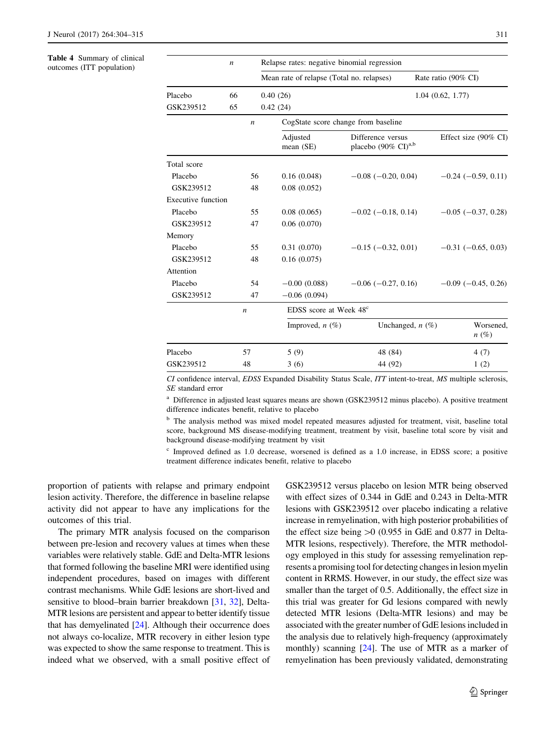#### <span id="page-7-0"></span>Table 4 Summary of clinical outcomes (ITT population)

|                           | $\boldsymbol{n}$ | Relapse rates: negative binomial regression |                                           |                                                        |                                 |  |  |  |
|---------------------------|------------------|---------------------------------------------|-------------------------------------------|--------------------------------------------------------|---------------------------------|--|--|--|
|                           |                  |                                             | Mean rate of relapse (Total no. relapses) |                                                        | Rate ratio (90% CI)             |  |  |  |
| Placebo                   | 66               |                                             | 0.40(26)                                  |                                                        | 1.04(0.62, 1.77)                |  |  |  |
| GSK239512                 | 65               |                                             | 0.42(24)                                  |                                                        |                                 |  |  |  |
|                           |                  | n                                           | CogState score change from baseline       |                                                        |                                 |  |  |  |
|                           |                  |                                             | Adjusted<br>mean (SE)                     | Difference versus<br>placebo $(90\% \text{ CI})^{a,b}$ | Effect size $(90\% \text{ CI})$ |  |  |  |
| Total score               |                  |                                             |                                           |                                                        |                                 |  |  |  |
| Placebo                   |                  | 56                                          | 0.16(0.048)                               | $-0.08$ ( $-0.20$ , 0.04)                              | $-0.24$ ( $-0.59$ , 0.11)       |  |  |  |
| GSK239512                 |                  | 48                                          | 0.08(0.052)                               |                                                        |                                 |  |  |  |
| <b>Executive function</b> |                  |                                             |                                           |                                                        |                                 |  |  |  |
| Placebo                   |                  | 55                                          | 0.08(0.065)                               | $-0.02$ ( $-0.18$ , 0.14)                              | $-0.05$ ( $-0.37$ , 0.28)       |  |  |  |
| GSK239512                 |                  | 47                                          | 0.06(0.070)                               |                                                        |                                 |  |  |  |
| Memory                    |                  |                                             |                                           |                                                        |                                 |  |  |  |
| Placebo                   |                  | 55                                          | 0.31(0.070)                               | $-0.15$ ( $-0.32$ , 0.01)                              | $-0.31$ ( $-0.65$ , 0.03)       |  |  |  |
| GSK239512                 |                  | 48                                          | 0.16(0.075)                               |                                                        |                                 |  |  |  |
| Attention                 |                  |                                             |                                           |                                                        |                                 |  |  |  |
| Placebo                   |                  | 54                                          | $-0.00(0.088)$                            | $-0.06$ ( $-0.27$ , 0.16)                              | $-0.09$ ( $-0.45$ , 0.26)       |  |  |  |
| GSK239512                 |                  | 47                                          | $-0.06(0.094)$                            |                                                        |                                 |  |  |  |
|                           | $\boldsymbol{n}$ |                                             | EDSS score at Week 48 <sup>c</sup>        |                                                        |                                 |  |  |  |
|                           |                  |                                             | Improved, $n(\%)$                         | Unchanged, $n$ (%)                                     | Worsened,<br>$n(\%)$            |  |  |  |
| Placebo                   | 57               |                                             | 5(9)                                      | 48 (84)                                                | 4(7)                            |  |  |  |
| GSK239512                 | 48               |                                             | 3(6)                                      | 44 (92)                                                | 1(2)                            |  |  |  |

CI confidence interval, EDSS Expanded Disability Status Scale, ITT intent-to-treat, MS multiple sclerosis, SE standard error

<sup>a</sup> Difference in adjusted least squares means are shown (GSK239512 minus placebo). A positive treatment difference indicates benefit, relative to placebo

<sup>b</sup> The analysis method was mixed model repeated measures adjusted for treatment, visit, baseline total score, background MS disease-modifying treatment, treatment by visit, baseline total score by visit and background disease-modifying treatment by visit

<sup>c</sup> Improved defined as 1.0 decrease, worsened is defined as a 1.0 increase, in EDSS score; a positive treatment difference indicates benefit, relative to placebo

proportion of patients with relapse and primary endpoint lesion activity. Therefore, the difference in baseline relapse activity did not appear to have any implications for the outcomes of this trial.

The primary MTR analysis focused on the comparison between pre-lesion and recovery values at times when these variables were relatively stable. GdE and Delta-MTR lesions that formed following the baseline MRI were identified using independent procedures, based on images with different contrast mechanisms. While GdE lesions are short-lived and sensitive to blood–brain barrier breakdown [\[31,](#page-11-0) [32\]](#page-11-0), Delta-MTR lesions are persistent and appear to better identify tissue that has demyelinated [[24](#page-10-0)]. Although their occurrence does not always co-localize, MTR recovery in either lesion type was expected to show the same response to treatment. This is indeed what we observed, with a small positive effect of GSK239512 versus placebo on lesion MTR being observed with effect sizes of 0.344 in GdE and 0.243 in Delta-MTR lesions with GSK239512 over placebo indicating a relative increase in remyelination, with high posterior probabilities of the effect size being  $>0$  (0.955 in GdE and 0.877 in Delta-MTR lesions, respectively). Therefore, the MTR methodology employed in this study for assessing remyelination represents a promising tool for detecting changes in lesion myelin content in RRMS. However, in our study, the effect size was smaller than the target of 0.5. Additionally, the effect size in this trial was greater for Gd lesions compared with newly detected MTR lesions (Delta-MTR lesions) and may be associated with the greater number of GdE lesions included in the analysis due to relatively high-frequency (approximately monthly) scanning [[24](#page-10-0)]. The use of MTR as a marker of remyelination has been previously validated, demonstrating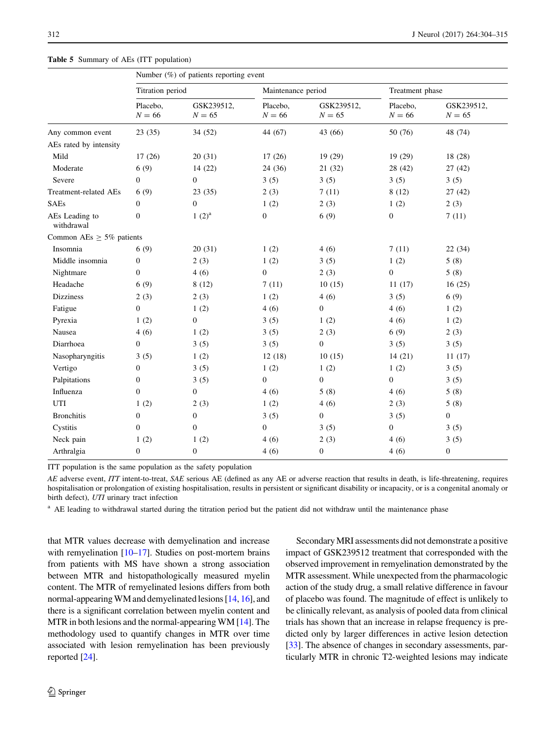|                               | Number $(\%)$ of patients reporting event |                        |                      |                        |                      |                        |  |  |
|-------------------------------|-------------------------------------------|------------------------|----------------------|------------------------|----------------------|------------------------|--|--|
|                               | Titration period                          |                        | Maintenance period   |                        | Treatment phase      |                        |  |  |
|                               | Placebo,<br>$N = 66$                      | GSK239512,<br>$N = 65$ | Placebo,<br>$N = 66$ | GSK239512,<br>$N = 65$ | Placebo,<br>$N = 66$ | GSK239512,<br>$N = 65$ |  |  |
| Any common event              | 23(35)                                    | 34 (52)                | 44 (67)              | 43 (66)                | 50 (76)              | 48 (74)                |  |  |
| AEs rated by intensity        |                                           |                        |                      |                        |                      |                        |  |  |
| Mild                          | 17(26)                                    | 20(31)                 | 17(26)               | 19 (29)                | 19(29)               | 18 (28)                |  |  |
| Moderate                      | 6(9)                                      | 14(22)                 | 24(36)               | 21(32)                 | 28(42)               | 27(42)                 |  |  |
| Severe                        | $\overline{0}$                            | $\boldsymbol{0}$       | 3(5)                 | 3(5)                   | 3(5)                 | 3(5)                   |  |  |
| Treatment-related AEs         | 6(9)                                      | 23(35)                 | 2(3)                 | 7(11)                  | 8(12)                | 27(42)                 |  |  |
| <b>SAEs</b>                   | $\boldsymbol{0}$                          | $\boldsymbol{0}$       | 1(2)                 | 2(3)                   | 1(2)                 | 2(3)                   |  |  |
| AEs Leading to<br>withdrawal  | $\mathbf{0}$                              | $1(2)^a$               | $\boldsymbol{0}$     | 6(9)                   | $\boldsymbol{0}$     | 7(11)                  |  |  |
| Common AEs $\geq$ 5% patients |                                           |                        |                      |                        |                      |                        |  |  |
| Insomnia                      | 6(9)                                      | 20(31)                 | 1(2)                 | 4(6)                   | 7(11)                | 22(34)                 |  |  |
| Middle insomnia               | $\boldsymbol{0}$                          | 2(3)                   | 1(2)                 | 3(5)                   | 1(2)                 | 5(8)                   |  |  |
| Nightmare                     | $\mathbf{0}$                              | 4(6)                   | $\overline{0}$       | 2(3)                   | $\mathbf{0}$         | 5(8)                   |  |  |
| Headache                      | 6(9)                                      | 8(12)                  | 7(11)                | 10(15)                 | 11(17)               | 16(25)                 |  |  |
| <b>Dizziness</b>              | 2(3)                                      | 2(3)                   | 1(2)                 | 4(6)                   | 3(5)                 | 6(9)                   |  |  |
| Fatigue                       | $\boldsymbol{0}$                          | 1(2)                   | 4(6)                 | $\boldsymbol{0}$       | 4(6)                 | 1(2)                   |  |  |
| Pyrexia                       | 1(2)                                      | $\boldsymbol{0}$       | 3(5)                 | 1(2)                   | 4(6)                 | 1(2)                   |  |  |
| Nausea                        | 4(6)                                      | 1(2)                   | 3(5)                 | 2(3)                   | 6(9)                 | 2(3)                   |  |  |
| Diarrhoea                     | $\boldsymbol{0}$                          | 3(5)                   | 3(5)                 | $\boldsymbol{0}$       | 3(5)                 | 3(5)                   |  |  |
| Nasopharyngitis               | 3(5)                                      | 1(2)                   | 12(18)               | 10(15)                 | 14(21)               | 11(17)                 |  |  |
| Vertigo                       | $\boldsymbol{0}$                          | 3(5)                   | 1(2)                 | 1(2)                   | 1(2)                 | 3(5)                   |  |  |
| Palpitations                  | $\boldsymbol{0}$                          | 3(5)                   | $\overline{0}$       | $\boldsymbol{0}$       | $\boldsymbol{0}$     | 3(5)                   |  |  |
| Influenza                     | $\boldsymbol{0}$                          | $\boldsymbol{0}$       | 4(6)                 | 5(8)                   | 4(6)                 | 5(8)                   |  |  |
| UTI                           | 1(2)                                      | 2(3)                   | 1(2)                 | 4(6)                   | 2(3)                 | 5(8)                   |  |  |
| <b>Bronchitis</b>             | $\boldsymbol{0}$                          | $\boldsymbol{0}$       | 3(5)                 | $\boldsymbol{0}$       | 3(5)                 | $\theta$               |  |  |
| Cystitis                      | $\overline{0}$                            | $\mathbf{0}$           | $\overline{0}$       | 3(5)                   | $\boldsymbol{0}$     | 3(5)                   |  |  |
| Neck pain                     | 1(2)                                      | 1(2)                   | 4(6)                 | 2(3)                   | 4(6)                 | 3(5)                   |  |  |
| Arthralgia                    | $\boldsymbol{0}$                          | $\boldsymbol{0}$       | 4(6)                 | $\boldsymbol{0}$       | 4(6)                 | $\boldsymbol{0}$       |  |  |

<span id="page-8-0"></span>Table 5 Summary of AEs (ITT population)

ITT population is the same population as the safety population

AE adverse event, ITT intent-to-treat, SAE serious AE (defined as any AE or adverse reaction that results in death, is life-threatening, requires hospitalisation or prolongation of existing hospitalisation, results in persistent or significant disability or incapacity, or is a congenital anomaly or birth defect), UTI urinary tract infection

<sup>a</sup> AE leading to withdrawal started during the titration period but the patient did not withdraw until the maintenance phase

that MTR values decrease with demyelination and increase with remyelination  $[10-17]$ . Studies on post-mortem brains from patients with MS have shown a strong association between MTR and histopathologically measured myelin content. The MTR of remyelinated lesions differs from both normal-appearingWM and demyelinated lesions [\[14,](#page-10-0) [16\]](#page-10-0), and there is a significant correlation between myelin content and MTR in both lesions and the normal-appearing WM [\[14](#page-10-0)]. The methodology used to quantify changes in MTR over time associated with lesion remyelination has been previously reported [\[24](#page-10-0)].

SecondaryMRI assessments did not demonstrate a positive impact of GSK239512 treatment that corresponded with the observed improvement in remyelination demonstrated by the MTR assessment. While unexpected from the pharmacologic action of the study drug, a small relative difference in favour of placebo was found. The magnitude of effect is unlikely to be clinically relevant, as analysis of pooled data from clinical trials has shown that an increase in relapse frequency is predicted only by larger differences in active lesion detection [\[33](#page-11-0)]. The absence of changes in secondary assessments, particularly MTR in chronic T2-weighted lesions may indicate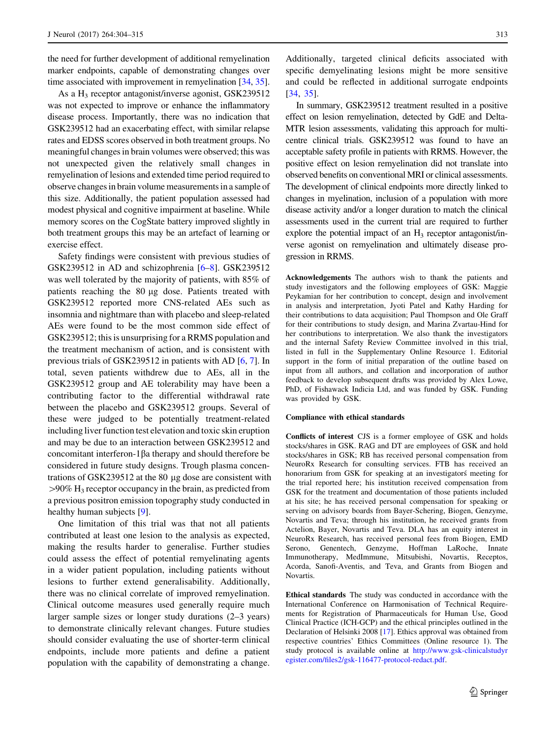the need for further development of additional remyelination marker endpoints, capable of demonstrating changes over time associated with improvement in remyelination [[34,](#page-11-0) [35](#page-11-0)].

As a  $H_3$  receptor antagonist/inverse agonist, GSK239512 was not expected to improve or enhance the inflammatory disease process. Importantly, there was no indication that GSK239512 had an exacerbating effect, with similar relapse rates and EDSS scores observed in both treatment groups. No meaningful changes in brain volumes were observed; this was not unexpected given the relatively small changes in remyelination of lesions and extended time period required to observe changes in brain volume measurements in a sample of this size. Additionally, the patient population assessed had modest physical and cognitive impairment at baseline. While memory scores on the CogState battery improved slightly in both treatment groups this may be an artefact of learning or exercise effect.

Safety findings were consistent with previous studies of GSK239512 in AD and schizophrenia [[6–8\]](#page-10-0). GSK239512 was well tolerated by the majority of patients, with 85% of patients reaching the 80 µg dose. Patients treated with GSK239512 reported more CNS-related AEs such as insomnia and nightmare than with placebo and sleep-related AEs were found to be the most common side effect of GSK239512; this is unsurprising for a RRMS population and the treatment mechanism of action, and is consistent with previous trials of GSK239512 in patients with AD [[6,](#page-10-0) [7\]](#page-10-0). In total, seven patients withdrew due to AEs, all in the GSK239512 group and AE tolerability may have been a contributing factor to the differential withdrawal rate between the placebo and GSK239512 groups. Several of these were judged to be potentially treatment-related including liver function test elevation and toxic skin eruption and may be due to an interaction between GSK239512 and concomitant interferon-1 $\beta$ a therapy and should therefore be considered in future study designs. Trough plasma concentrations of GSK239512 at the 80  $\mu$ g dose are consistent with  $>90\%$  H<sub>3</sub> receptor occupancy in the brain, as predicted from a previous positron emission topography study conducted in healthy human subjects [[9\]](#page-10-0).

One limitation of this trial was that not all patients contributed at least one lesion to the analysis as expected, making the results harder to generalise. Further studies could assess the effect of potential remyelinating agents in a wider patient population, including patients without lesions to further extend generalisability. Additionally, there was no clinical correlate of improved remyelination. Clinical outcome measures used generally require much larger sample sizes or longer study durations (2–3 years) to demonstrate clinically relevant changes. Future studies should consider evaluating the use of shorter-term clinical endpoints, include more patients and define a patient population with the capability of demonstrating a change.

Additionally, targeted clinical deficits associated with specific demyelinating lesions might be more sensitive and could be reflected in additional surrogate endpoints [\[34](#page-11-0), [35\]](#page-11-0).

In summary, GSK239512 treatment resulted in a positive effect on lesion remyelination, detected by GdE and Delta-MTR lesion assessments, validating this approach for multicentre clinical trials. GSK239512 was found to have an acceptable safety profile in patients with RRMS. However, the positive effect on lesion remyelination did not translate into observed benefits on conventional MRI or clinical assessments. The development of clinical endpoints more directly linked to changes in myelination, inclusion of a population with more disease activity and/or a longer duration to match the clinical assessments used in the current trial are required to further explore the potential impact of an  $H_3$  receptor antagonist/inverse agonist on remyelination and ultimately disease progression in RRMS.

Acknowledgements The authors wish to thank the patients and study investigators and the following employees of GSK: Maggie Peykamian for her contribution to concept, design and involvement in analysis and interpretation, Jyoti Patel and Kathy Harding for their contributions to data acquisition; Paul Thompson and Ole Graff for their contributions to study design, and Marina Zvartau-Hind for her contributions to interpretation. We also thank the investigators and the internal Safety Review Committee involved in this trial, listed in full in the Supplementary Online Resource 1. Editorial support in the form of initial preparation of the outline based on input from all authors, and collation and incorporation of author feedback to develop subsequent drafts was provided by Alex Lowe, PhD, of Fishawack Indicia Ltd, and was funded by GSK. Funding was provided by GSK.

#### Compliance with ethical standards

Conflicts of interest CJS is a former employee of GSK and holds stocks/shares in GSK. RAG and DT are employees of GSK and hold stocks/shares in GSK; RB has received personal compensation from NeuroRx Research for consulting services. FTB has received an honorarium from GSK for speaking at an investigators meeting for the trial reported here; his institution received compensation from GSK for the treatment and documentation of those patients included at his site; he has received personal compensation for speaking or serving on advisory boards from Bayer-Schering, Biogen, Genzyme, Novartis and Teva; through his institution, he received grants from Actelion, Bayer, Novartis and Teva. DLA has an equity interest in NeuroRx Research, has received personal fees from Biogen, EMD Serono, Genentech, Genzyme, Hoffman LaRoche, Innate Immunotherapy, MedImmune, Mitsubishi, Novartis, Receptos, Acorda, Sanofi-Aventis, and Teva, and Grants from Biogen and Novartis.

Ethical standards The study was conducted in accordance with the International Conference on Harmonisation of Technical Requirements for Registration of Pharmaceuticals for Human Use, Good Clinical Practice (ICH-GCP) and the ethical principles outlined in the Declaration of Helsinki 2008 [\[17\]](#page-10-0). Ethics approval was obtained from respective countries' Ethics Committees (Online resource 1). The study protocol is available online at [http://www.gsk-clinicalstudyr](http://www.gsk-clinicalstudyregister.com/files2/gsk-116477-protocol-redact.pdf) [egister.com/files2/gsk-116477-protocol-redact.pdf.](http://www.gsk-clinicalstudyregister.com/files2/gsk-116477-protocol-redact.pdf)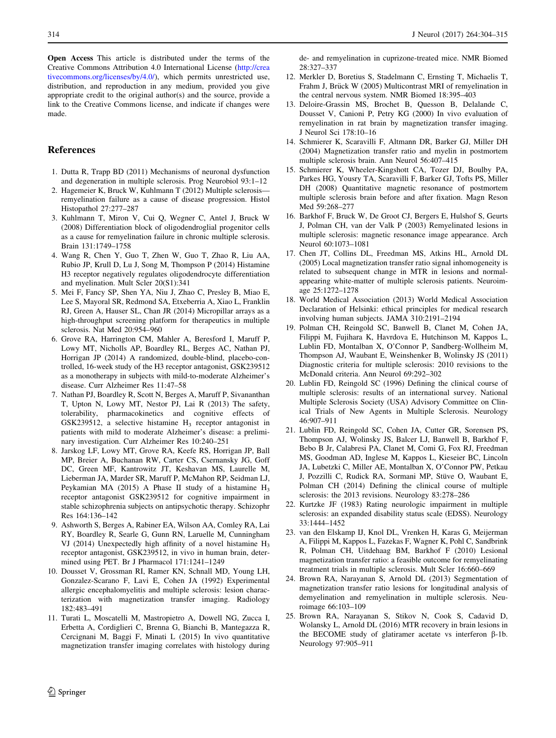<span id="page-10-0"></span>Open Access This article is distributed under the terms of the Creative Commons Attribution 4.0 International License ([http://crea](http://creativecommons.org/licenses/by/4.0/) [tivecommons.org/licenses/by/4.0/\)](http://creativecommons.org/licenses/by/4.0/), which permits unrestricted use, distribution, and reproduction in any medium, provided you give appropriate credit to the original author(s) and the source, provide a link to the Creative Commons license, and indicate if changes were made.

# References

- 1. Dutta R, Trapp BD (2011) Mechanisms of neuronal dysfunction and degeneration in multiple sclerosis. Prog Neurobiol 93:1–12
- 2. Hagemeier K, Bruck W, Kuhlmann T (2012) Multiple sclerosis remyelination failure as a cause of disease progression. Histol Histopathol 27:277–287
- 3. Kuhlmann T, Miron V, Cui Q, Wegner C, Antel J, Bruck W (2008) Differentiation block of oligodendroglial progenitor cells as a cause for remyelination failure in chronic multiple sclerosis. Brain 131:1749–1758
- 4. Wang R, Chen Y, Guo T, Zhen W, Guo T, Zhao R, Liu AA, Rubio JP, Krull D, Lu J, Song M, Thompson P (2014) Histamine H3 receptor negatively regulates oligodendrocyte differentiation and myelination. Mult Scler 20(S1):341
- 5. Mei F, Fancy SP, Shen YA, Niu J, Zhao C, Presley B, Miao E, Lee S, Mayoral SR, Redmond SA, Etxeberria A, Xiao L, Franklin RJ, Green A, Hauser SL, Chan JR (2014) Micropillar arrays as a high-throughput screening platform for therapeutics in multiple sclerosis. Nat Med 20:954–960
- 6. Grove RA, Harrington CM, Mahler A, Beresford I, Maruff P, Lowy MT, Nicholls AP, Boardley RL, Berges AC, Nathan PJ, Horrigan JP (2014) A randomized, double-blind, placebo-controlled, 16-week study of the H3 receptor antagonist, GSK239512 as a monotherapy in subjects with mild-to-moderate Alzheimer's disease. Curr Alzheimer Res 11:47–58
- 7. Nathan PJ, Boardley R, Scott N, Berges A, Maruff P, Sivananthan T, Upton N, Lowy MT, Nestor PJ, Lai R (2013) The safety, tolerability, pharmacokinetics and cognitive effects of GSK239512, a selective histamine  $H_3$  receptor antagonist in patients with mild to moderate Alzheimer's disease: a preliminary investigation. Curr Alzheimer Res 10:240–251
- 8. Jarskog LF, Lowy MT, Grove RA, Keefe RS, Horrigan JP, Ball MP, Breier A, Buchanan RW, Carter CS, Csernansky JG, Goff DC, Green MF, Kantrowitz JT, Keshavan MS, Laurelle M, Lieberman JA, Marder SR, Maruff P, McMahon RP, Seidman LJ, Peykamian MA (2015) A Phase II study of a histamine H<sub>3</sub> receptor antagonist GSK239512 for cognitive impairment in stable schizophrenia subjects on antipsychotic therapy. Schizophr Res 164:136–142
- 9. Ashworth S, Berges A, Rabiner EA, Wilson AA, Comley RA, Lai RY, Boardley R, Searle G, Gunn RN, Laruelle M, Cunningham VJ (2014) Unexpectedly high affinity of a novel histamine  $H_3$ receptor antagonist, GSK239512, in vivo in human brain, determined using PET. Br J Pharmacol 171:1241–1249
- 10. Dousset V, Grossman RI, Ramer KN, Schnall MD, Young LH, Gonzalez-Scarano F, Lavi E, Cohen JA (1992) Experimental allergic encephalomyelitis and multiple sclerosis: lesion characterization with magnetization transfer imaging. Radiology 182:483–491
- 11. Turati L, Moscatelli M, Mastropietro A, Dowell NG, Zucca I, Erbetta A, Cordiglieri C, Brenna G, Bianchi B, Mantegazza R, Cercignani M, Baggi F, Minati L (2015) In vivo quantitative magnetization transfer imaging correlates with histology during

de- and remyelination in cuprizone-treated mice. NMR Biomed 28:327–337

- 12. Merkler D, Boretius S, Stadelmann C, Ernsting T, Michaelis T, Frahm J, Brück W (2005) Multicontrast MRI of remyelination in the central nervous system. NMR Biomed 18:395–403
- 13. Deloire-Grassin MS, Brochet B, Quesson B, Delalande C, Dousset V, Canioni P, Petry KG (2000) In vivo evaluation of remyelination in rat brain by magnetization transfer imaging. J Neurol Sci 178:10–16
- 14. Schmierer K, Scaravilli F, Altmann DR, Barker GJ, Miller DH (2004) Magnetization transfer ratio and myelin in postmortem multiple sclerosis brain. Ann Neurol 56:407–415
- 15. Schmierer K, Wheeler-Kingshott CA, Tozer DJ, Boulby PA, Parkes HG, Yousry TA, Scaravilli F, Barker GJ, Tofts PS, Miller DH (2008) Quantitative magnetic resonance of postmortem multiple sclerosis brain before and after fixation. Magn Reson Med 59:268–277
- 16. Barkhof F, Bruck W, De Groot CJ, Bergers E, Hulshof S, Geurts J, Polman CH, van der Valk P (2003) Remyelinated lesions in multiple sclerosis: magnetic resonance image appearance. Arch Neurol 60:1073–1081
- 17. Chen JT, Collins DL, Freedman MS, Atkins HL, Arnold DL (2005) Local magnetization transfer ratio signal inhomogeneity is related to subsequent change in MTR in lesions and normalappearing white-matter of multiple sclerosis patients. Neuroimage 25:1272–1278
- 18. World Medical Association (2013) World Medical Association Declaration of Helsinki: ethical principles for medical research involving human subjects. JAMA 310:2191–2194
- 19. Polman CH, Reingold SC, Banwell B, Clanet M, Cohen JA, Filippi M, Fujihara K, Havrdova E, Hutchinson M, Kappos L, Lublin FD, Montalban X, O'Connor P, Sandberg-Wollheim M, Thompson AJ, Waubant E, Weinshenker B, Wolinsky JS (2011) Diagnostic criteria for multiple sclerosis: 2010 revisions to the McDonald criteria. Ann Neurol 69:292–302
- 20. Lublin FD, Reingold SC (1996) Defining the clinical course of multiple sclerosis: results of an international survey. National Multiple Sclerosis Society (USA) Advisory Committee on Clinical Trials of New Agents in Multiple Sclerosis. Neurology 46:907–911
- 21. Lublin FD, Reingold SC, Cohen JA, Cutter GR, Sorensen PS, Thompson AJ, Wolinsky JS, Balcer LJ, Banwell B, Barkhof F, Bebo B Jr, Calabresi PA, Clanet M, Comi G, Fox RJ, Freedman MS, Goodman AD, Inglese M, Kappos L, Kieseier BC, Lincoln JA, Lubetzki C, Miller AE, Montalban X, O'Connor PW, Petkau J, Pozzilli C, Rudick RA, Sormani MP, Stüve O, Waubant E, Polman CH (2014) Defining the clinical course of multiple sclerosis: the 2013 revisions. Neurology 83:278–286
- 22. Kurtzke JF (1983) Rating neurologic impairment in multiple sclerosis: an expanded disability status scale (EDSS). Neurology 33:1444–1452
- 23. van den Elskamp IJ, Knol DL, Vrenken H, Karas G, Meijerman A, Filippi M, Kappos L, Fazekas F, Wagner K, Pohl C, Sandbrink R, Polman CH, Uitdehaag BM, Barkhof F (2010) Lesional magnetization transfer ratio: a feasible outcome for remyelinating treatment trials in multiple sclerosis. Mult Scler 16:660–669
- 24. Brown RA, Narayanan S, Arnold DL (2013) Segmentation of magnetization transfer ratio lesions for longitudinal analysis of demyelination and remyelination in multiple sclerosis. Neuroimage 66:103–109
- 25. Brown RA, Narayanan S, Stikov N, Cook S, Cadavid D, Wolansky L, Arnold DL (2016) MTR recovery in brain lesions in the BECOME study of glatiramer acetate vs interferon  $\beta$ -1b. Neurology 97:905–911